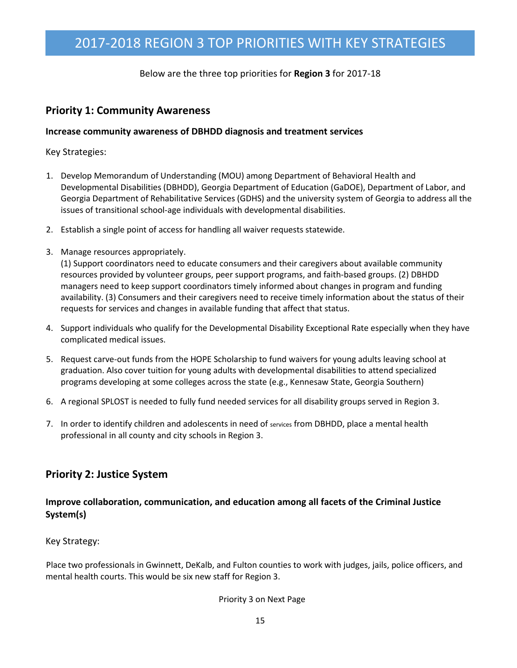# 2017-2018 REGION 3 TOP PRIORITIES WITH KEY STRATEGIES

Below are the three top priorities for **Region 3** for 2017-18

### **Priority 1: Community Awareness**

#### **Increase community awareness of DBHDD diagnosis and treatment services**

Key Strategies:

- 1. Develop Memorandum of Understanding (MOU) among Department of Behavioral Health and Developmental Disabilities (DBHDD), Georgia Department of Education (GaDOE), Department of Labor, and Georgia Department of Rehabilitative Services (GDHS) and the university system of Georgia to address all the issues of transitional school-age individuals with developmental disabilities.
- 2. Establish a single point of access for handling all waiver requests statewide.
- 3. Manage resources appropriately.

(1) Support coordinators need to educate consumers and their caregivers about available community resources provided by volunteer groups, peer support programs, and faith-based groups. (2) DBHDD managers need to keep support coordinators timely informed about changes in program and funding availability. (3) Consumers and their caregivers need to receive timely information about the status of their requests for services and changes in available funding that affect that status.

- 4. Support individuals who qualify for the Developmental Disability Exceptional Rate especially when they have complicated medical issues.
- 5. Request carve-out funds from the HOPE Scholarship to fund waivers for young adults leaving school at graduation. Also cover tuition for young adults with developmental disabilities to attend specialized programs developing at some colleges across the state (e.g., Kennesaw State, Georgia Southern)
- 6. A regional SPLOST is needed to fully fund needed services for all disability groups served in Region 3.
- 7. In order to identify children and adolescents in need of services from DBHDD, place a mental health professional in all county and city schools in Region 3.

## **Priority 2: Justice System**

### **Improve collaboration, communication, and education among all facets of the Criminal Justice System(s)**

Key Strategy:

Place two professionals in Gwinnett, DeKalb, and Fulton counties to work with judges, jails, police officers, and mental health courts. This would be six new staff for Region 3.

#### Priority 3 on Next Page